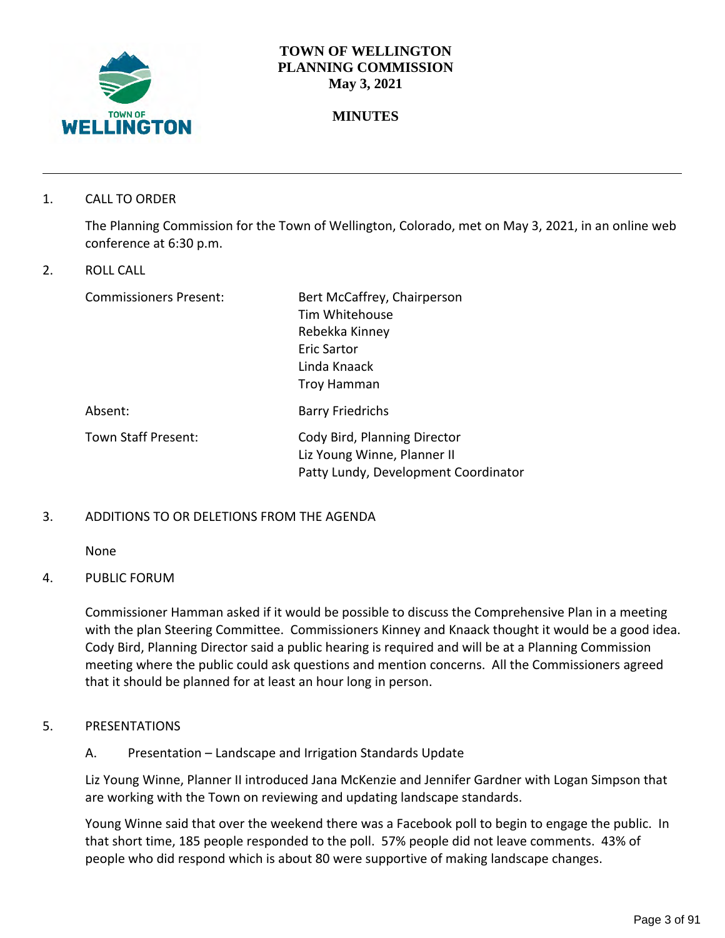

### **TOWN OF WELLINGTON PLANNING COMMISSION May 3, 2021**

# **MINUTES**

1. CALL TO ORDER

The Planning Commission for the Town of Wellington, Colorado, met on May 3, 2021, in an online web conference at 6:30 p.m.

2. ROLL CALL

| <b>Commissioners Present:</b> | Bert McCaffrey, Chairperson          |
|-------------------------------|--------------------------------------|
|                               | Tim Whitehouse                       |
|                               | Rebekka Kinney                       |
|                               | Eric Sartor                          |
|                               | Linda Knaack                         |
|                               | Troy Hamman                          |
| Absent:                       | <b>Barry Friedrichs</b>              |
| Town Staff Present:           | Cody Bird, Planning Director         |
|                               | Liz Young Winne, Planner II          |
|                               | Patty Lundy, Development Coordinator |

### 3. ADDITIONS TO OR DELETIONS FROM THE AGENDA

None

### 4. PUBLIC FORUM

Commissioner Hamman asked if it would be possible to discuss the Comprehensive Plan in a meeting with the plan Steering Committee. Commissioners Kinney and Knaack thought it would be a good idea. Cody Bird, Planning Director said a public hearing is required and will be at a Planning Commission meeting where the public could ask questions and mention concerns. All the Commissioners agreed that it should be planned for at least an hour long in person.

- 5. PRESENTATIONS
	- A. Presentation Landscape and Irrigation Standards Update

Liz Young Winne, Planner II introduced Jana McKenzie and Jennifer Gardner with Logan Simpson that are working with the Town on reviewing and updating landscape standards.

Young Winne said that over the weekend there was a Facebook poll to begin to engage the public. In that short time, 185 people responded to the poll. 57% people did not leave comments. 43% of people who did respond which is about 80 were supportive of making landscape changes.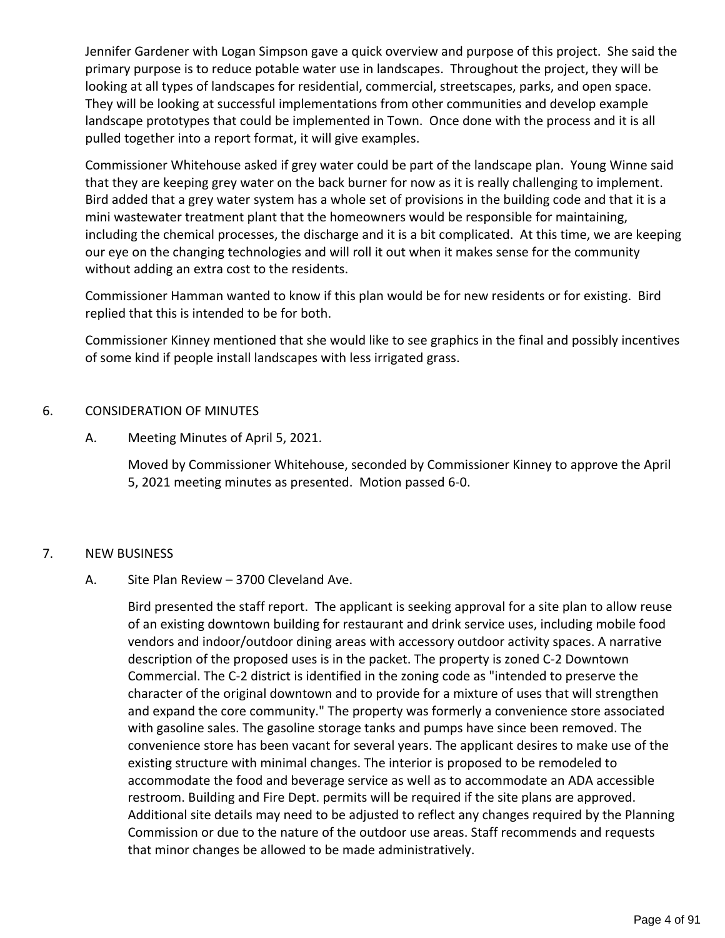Jennifer Gardener with Logan Simpson gave a quick overview and purpose of this project. She said the primary purpose is to reduce potable water use in landscapes. Throughout the project, they will be looking at all types of landscapes for residential, commercial, streetscapes, parks, and open space. They will be looking at successful implementations from other communities and develop example landscape prototypes that could be implemented in Town. Once done with the process and it is all pulled together into a report format, it will give examples.

Commissioner Whitehouse asked if grey water could be part of the landscape plan. Young Winne said that they are keeping grey water on the back burner for now as it is really challenging to implement. Bird added that a grey water system has a whole set of provisions in the building code and that it is a mini wastewater treatment plant that the homeowners would be responsible for maintaining, including the chemical processes, the discharge and it is a bit complicated. At this time, we are keeping our eye on the changing technologies and will roll it out when it makes sense for the community without adding an extra cost to the residents.

Commissioner Hamman wanted to know if this plan would be for new residents or for existing. Bird replied that this is intended to be for both.

Commissioner Kinney mentioned that she would like to see graphics in the final and possibly incentives of some kind if people install landscapes with less irrigated grass.

### 6. CONSIDERATION OF MINUTES

A. Meeting Minutes of April 5, 2021.

Moved by Commissioner Whitehouse, seconded by Commissioner Kinney to approve the April 5, 2021 meeting minutes as presented. Motion passed 6-0.

## 7. NEW BUSINESS

## A. Site Plan Review – 3700 Cleveland Ave.

Bird presented the staff report. The applicant is seeking approval for a site plan to allow reuse of an existing downtown building for restaurant and drink service uses, including mobile food vendors and indoor/outdoor dining areas with accessory outdoor activity spaces. A narrative description of the proposed uses is in the packet. The property is zoned C-2 Downtown Commercial. The C-2 district is identified in the zoning code as "intended to preserve the character of the original downtown and to provide for a mixture of uses that will strengthen and expand the core community." The property was formerly a convenience store associated with gasoline sales. The gasoline storage tanks and pumps have since been removed. The convenience store has been vacant for several years. The applicant desires to make use of the existing structure with minimal changes. The interior is proposed to be remodeled to accommodate the food and beverage service as well as to accommodate an ADA accessible restroom. Building and Fire Dept. permits will be required if the site plans are approved. Additional site details may need to be adjusted to reflect any changes required by the Planning Commission or due to the nature of the outdoor use areas. Staff recommends and requests that minor changes be allowed to be made administratively.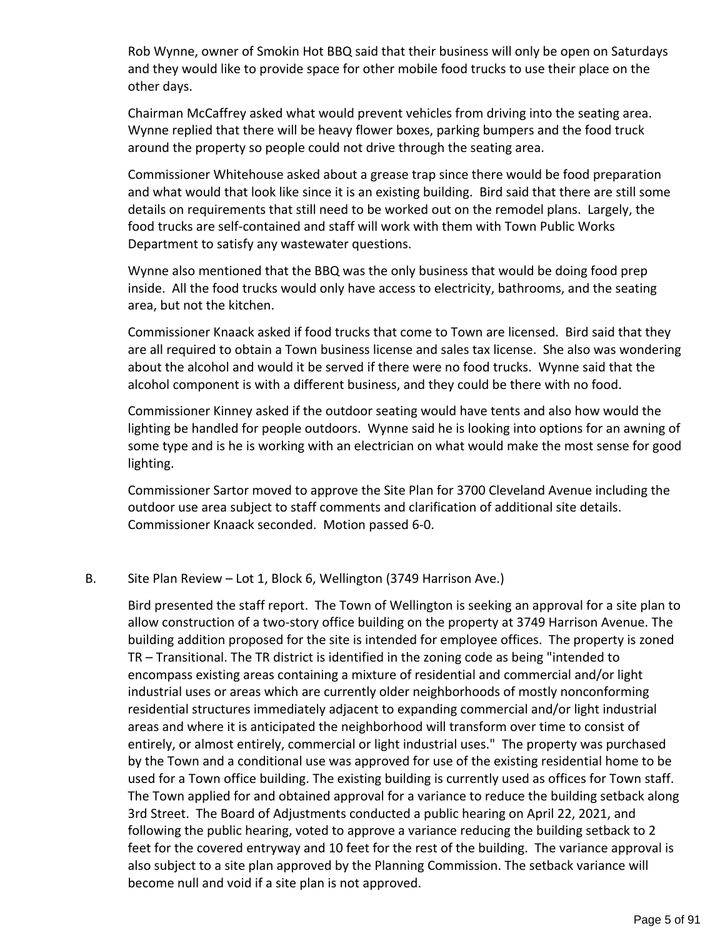Rob Wynne, owner of Smokin Hot BBQ said that their business will only be open on Saturdays and they would like to provide space for other mobile food trucks to use their place on the other days.

Chairman McCaffrey asked what would prevent vehicles from driving into the seating area. Wynne replied that there will be heavy flower boxes, parking bumpers and the food truck around the property so people could not drive through the seating area.

Commissioner Whitehouse asked about a grease trap since there would be food preparation and what would that look like since it is an existing building. Bird said that there are still some details on requirements that still need to be worked out on the remodel plans. Largely, the food trucks are self-contained and staff will work with them with Town Public Works Department to satisfy any wastewater questions.

Wynne also mentioned that the BBQ was the only business that would be doing food prep inside. All the food trucks would only have access to electricity, bathrooms, and the seating area, but not the kitchen.

Commissioner Knaack asked if food trucks that come to Town are licensed. Bird said that they are all required to obtain a Town business license and sales tax license. She also was wondering about the alcohol and would it be served if there were no food trucks. Wynne said that the alcohol component is with a different business, and they could be there with no food.

Commissioner Kinney asked if the outdoor seating would have tents and also how would the lighting be handled for people outdoors. Wynne said he is looking into options for an awning of some type and is he is working with an electrician on what would make the most sense for good lighting.

Commissioner Sartor moved to approve the Site Plan for 3700 Cleveland Avenue including the outdoor use area subject to staff comments and clarification of additional site details. Commissioner Knaack seconded. Motion passed 6-0.

### B. Site Plan Review – Lot 1, Block 6, Wellington (3749 Harrison Ave.)

Bird presented the staff report. The Town of Wellington is seeking an approval for a site plan to allow construction of a two-story office building on the property at 3749 Harrison Avenue. The building addition proposed for the site is intended for employee offices. The property is zoned TR – Transitional. The TR district is identified in the zoning code as being "intended to encompass existing areas containing a mixture of residential and commercial and/or light industrial uses or areas which are currently older neighborhoods of mostly nonconforming residential structures immediately adjacent to expanding commercial and/or light industrial areas and where it is anticipated the neighborhood will transform over time to consist of entirely, or almost entirely, commercial or light industrial uses." The property was purchased by the Town and a conditional use was approved for use of the existing residential home to be used for a Town office building. The existing building is currently used as offices for Town staff. The Town applied for and obtained approval for a variance to reduce the building setback along 3rd Street. The Board of Adjustments conducted a public hearing on April 22, 2021, and following the public hearing, voted to approve a variance reducing the building setback to 2 feet for the covered entryway and 10 feet for the rest of the building. The variance approval is also subject to a site plan approved by the Planning Commission. The setback variance will become null and void if a site plan is not approved.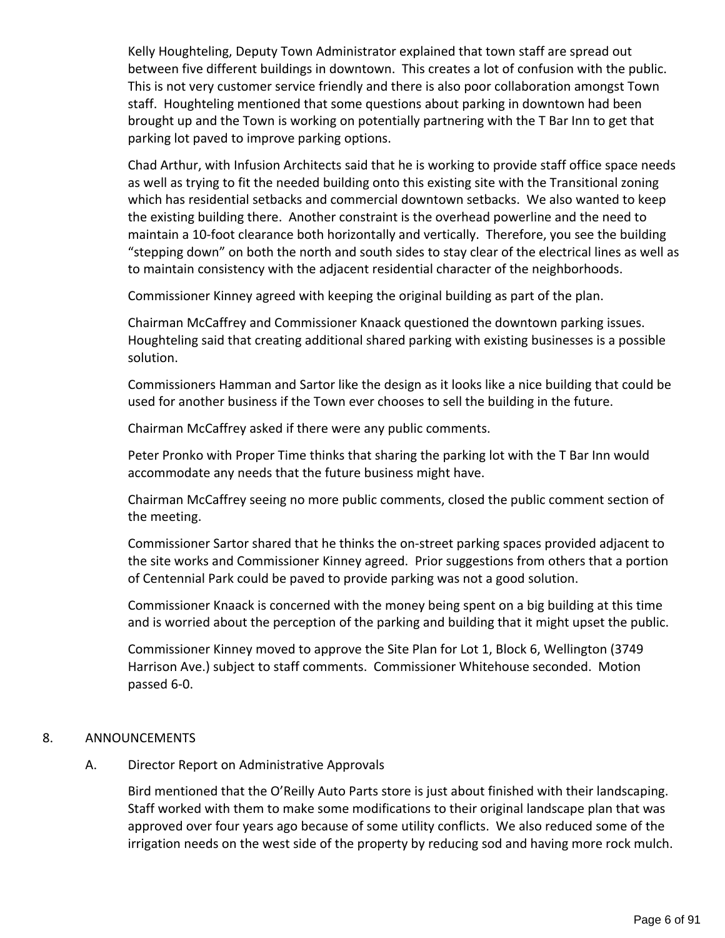Kelly Houghteling, Deputy Town Administrator explained that town staff are spread out between five different buildings in downtown. This creates a lot of confusion with the public. This is not very customer service friendly and there is also poor collaboration amongst Town staff. Houghteling mentioned that some questions about parking in downtown had been brought up and the Town is working on potentially partnering with the T Bar Inn to get that parking lot paved to improve parking options.

Chad Arthur, with Infusion Architects said that he is working to provide staff office space needs as well as trying to fit the needed building onto this existing site with the Transitional zoning which has residential setbacks and commercial downtown setbacks. We also wanted to keep the existing building there. Another constraint is the overhead powerline and the need to maintain a 10-foot clearance both horizontally and vertically. Therefore, you see the building "stepping down" on both the north and south sides to stay clear of the electrical lines as well as to maintain consistency with the adjacent residential character of the neighborhoods.

Commissioner Kinney agreed with keeping the original building as part of the plan.

Chairman McCaffrey and Commissioner Knaack questioned the downtown parking issues. Houghteling said that creating additional shared parking with existing businesses is a possible solution.

Commissioners Hamman and Sartor like the design as it looks like a nice building that could be used for another business if the Town ever chooses to sell the building in the future.

Chairman McCaffrey asked if there were any public comments.

Peter Pronko with Proper Time thinks that sharing the parking lot with the T Bar Inn would accommodate any needs that the future business might have.

Chairman McCaffrey seeing no more public comments, closed the public comment section of the meeting.

Commissioner Sartor shared that he thinks the on-street parking spaces provided adjacent to the site works and Commissioner Kinney agreed. Prior suggestions from others that a portion of Centennial Park could be paved to provide parking was not a good solution.

Commissioner Knaack is concerned with the money being spent on a big building at this time and is worried about the perception of the parking and building that it might upset the public.

Commissioner Kinney moved to approve the Site Plan for Lot 1, Block 6, Wellington (3749 Harrison Ave.) subject to staff comments. Commissioner Whitehouse seconded. Motion passed 6-0.

### 8. ANNOUNCEMENTS

### A. Director Report on Administrative Approvals

Bird mentioned that the O'Reilly Auto Parts store is just about finished with their landscaping. Staff worked with them to make some modifications to their original landscape plan that was approved over four years ago because of some utility conflicts. We also reduced some of the irrigation needs on the west side of the property by reducing sod and having more rock mulch.